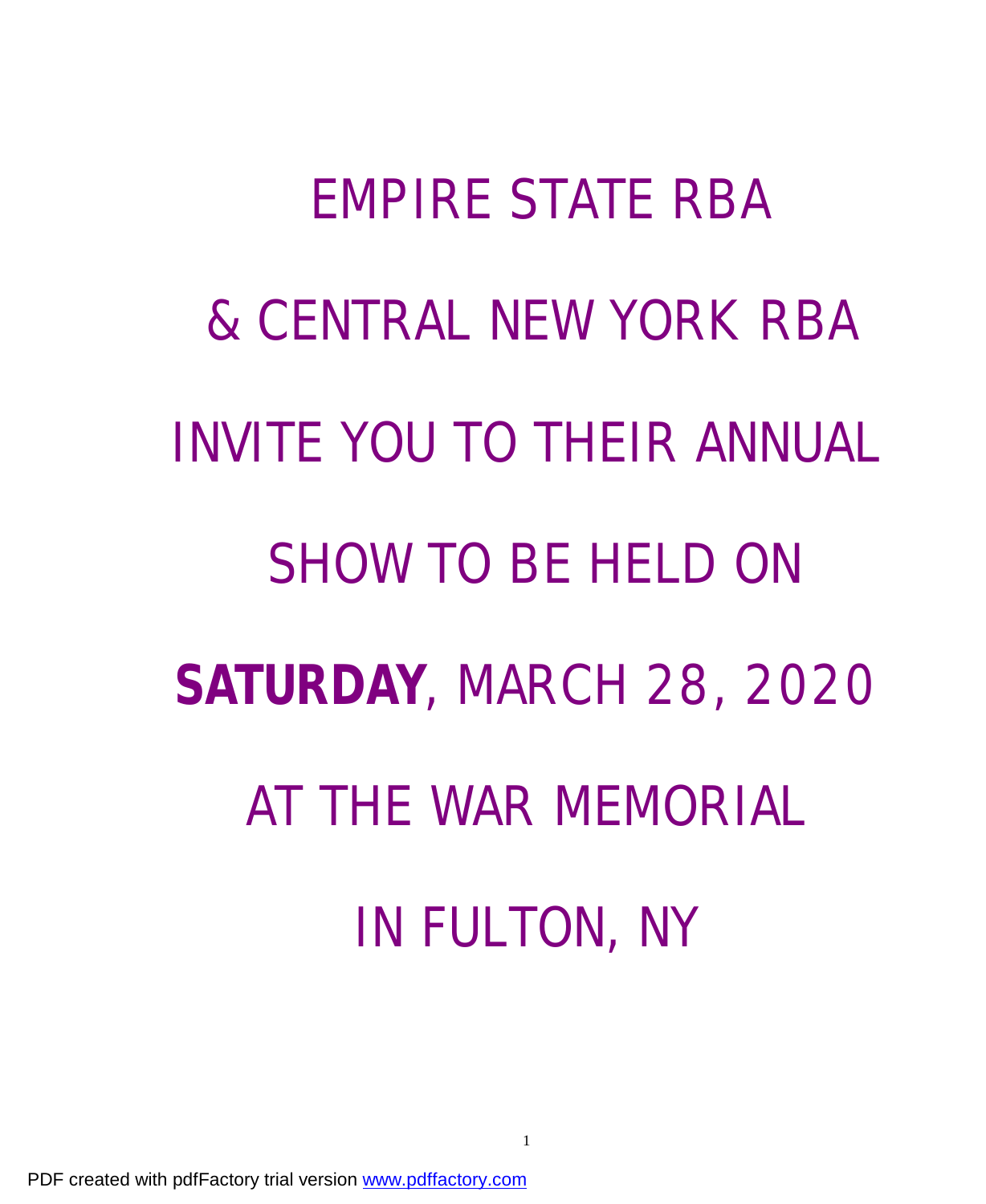# **EMPIRE STATE RBA & CENTRAL NEW YORK RBA INVITE YOU TO THEIR ANNUAL SHOW TO BE HELD ON SATURDAY, MARCH 28, 2020 AT THE WAR MEMORIAL IN FULTON, NY**

PDF created with pdfFactory trial version [www.pdffactory.com](http://www.pdffactory.com)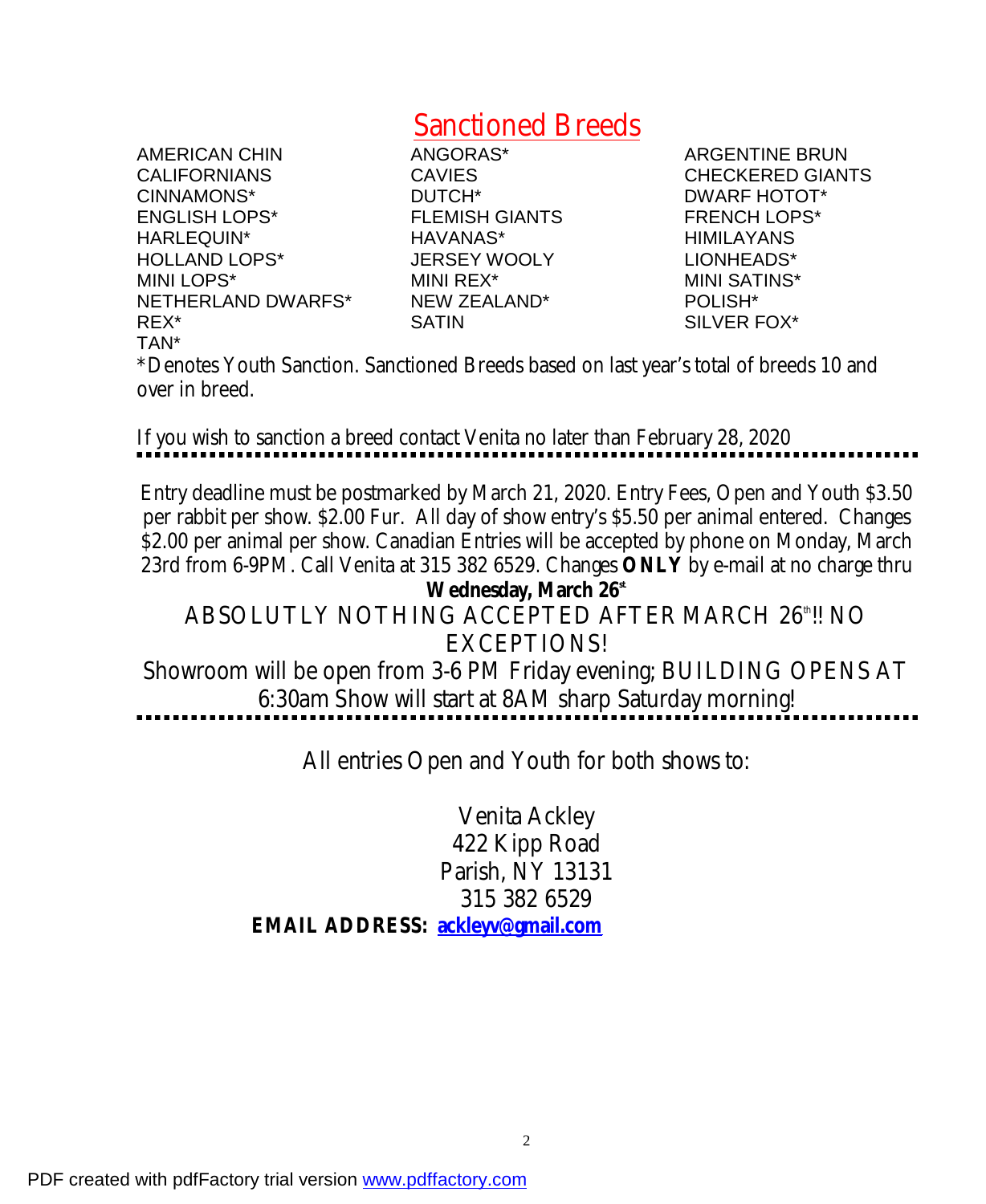## Sanctioned Breeds

AMERICAN CHIN ANGORAS\* ARGENTINE BRUN CALIFORNIANS CAVIES CHECKERED GIANTS CINNAMONS\* DUTCH\* DWARF HOTOT\* ENGLISH LOPS\* FLEMISH GIANTS FRENCH LOPS\* HARLEQUIN\* HAVANAS\* HIMILAYANS HOLLAND LOPS\* JERSEY WOOLY LIONHEADS\* MINI LOPS\* MINI REX\* MINI SATINS\* NETHERLAND DWARFS\* NEW ZEALAND\* POLISH\* REX\* SATIN SILVER FOX\* TAN\*

\*Denotes Youth Sanction. Sanctioned Breeds based on last year's total of breeds 10 and over in breed.

If you wish to sanction a breed contact Venita no later than February 28, 2020

Entry deadline must be postmarked by March 21, 2020. Entry Fees, Open and Youth \$3.50 per rabbit per show. \$2.00 Fur. All day of show entry's \$5.50 per animal entered. Changes \$2.00 per animal per show. Canadian Entries will be accepted by phone on Monday, March 23rd from 6-9PM. Call Venita at 315 382 6529. Changes **ONLY** by e-mail at no charge thru **Wednesday, March 26st**. ABSOLUTLY NOTHING ACCEPTED AFTER MARCH 26"!! NO EXCEPTIONS! Showroom will be open from 3-6 PM Friday evening; BUILDING OPENS AT 6:30am Show will start at 8AM sharp Saturday morning!

All entries Open and Youth for both shows to:

Venita Ackley 422 Kipp Road Parish, NY 13131 315 382 6529 *EMAIL ADDRESS: [ackleyv@gmail.com](mailto:ackleyv@gmail.com)*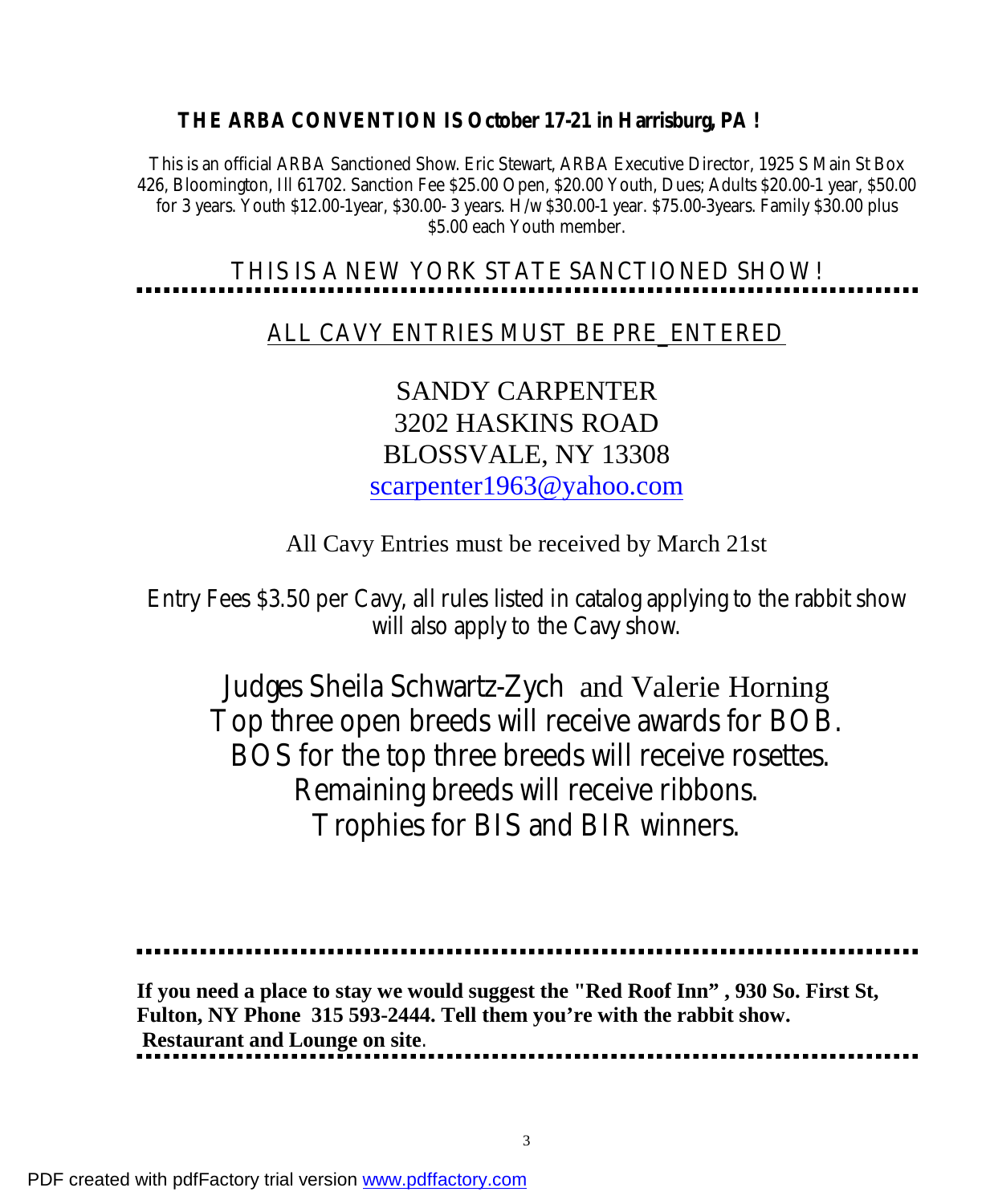**THE ARBA CONVENTION IS October 17-21 in Harrisburg, PA !** 

This is an official ARBA Sanctioned Show. Eric Stewart, ARBA Executive Director, 1925 S Main St Box 426, Bloomington, Ill 61702. Sanction Fee \$25.00 Open, \$20.00 Youth, Dues; Adults \$20.00-1 year, \$50.00 for 3 years. Youth \$12.00-1year, \$30.00- 3 years. H/w \$30.00-1 year. \$75.00-3years. Family \$30.00 plus \$5.00 each Youth member.

# THIS IS A NEW YORK STATE SANCTIONED SHOW!

ALL CAVY ENTRIES MUST BE PRE\_ENTERED

### SANDY CARPENTER 3202 HASKINS ROAD BLOSSVALE, NY 13308 [scarpenter1963@yahoo.com](mailto:scarpenter1963@yahoo.com)

#### All Cavy Entries must be received by March 21st

Entry Fees \$3.50 per Cavy, all rules listed in catalog applying to the rabbit show will also apply to the Cavy show.

Judges Sheila Schwartz-Zych and Valerie Horning Top three open breeds will receive awards for BOB. BOS for the top three breeds will receive rosettes. Remaining breeds will receive ribbons. Trophies for BIS and BIR winners.

**If you need a place to stay we would suggest the "Red Roof Inn" , 930 So. First St, Fulton, NY Phone 315 593-2444. Tell them you're with the rabbit show. Restaurant and Lounge on site**.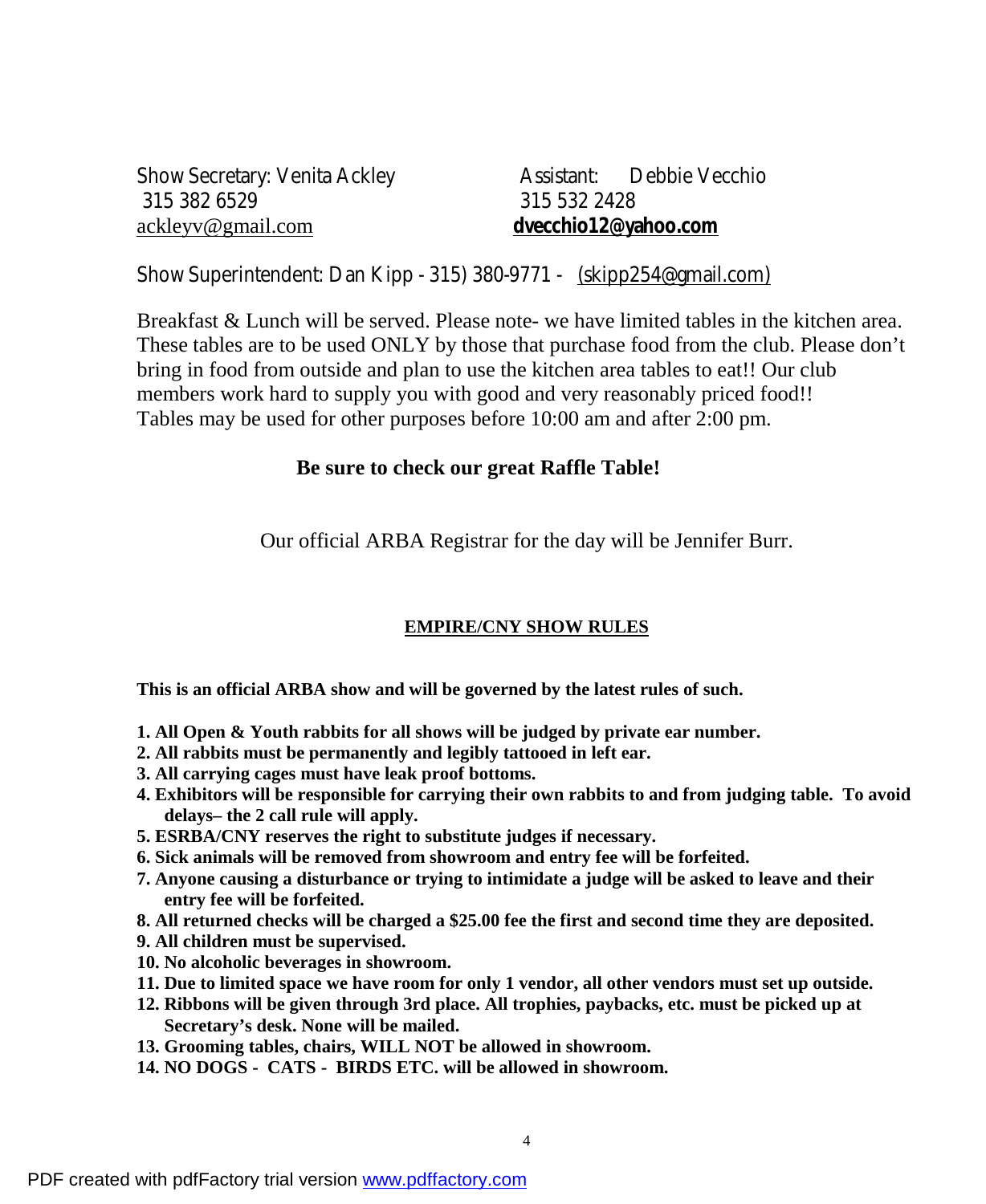Show Secretary: Venita Ackley **Assistant:** Debbie Vecchio 315 382 6529 315 532 2428 [ackleyv@gmail.com](mailto:ackleyv@gmail.com) **[dvecchio12@yahoo.com](mailto:dvecchio12@yahoo.com)**

Show Superintendent: Dan Kipp - 315) 380-9771 - [\(skipp254@gmail.com\)](mailto:(skipp254@gmail.com))

Breakfast & Lunch will be served. Please note- we have limited tables in the kitchen area. These tables are to be used ONLY by those that purchase food from the club. Please don't bring in food from outside and plan to use the kitchen area tables to eat!! Our club members work hard to supply you with good and very reasonably priced food!! Tables may be used for other purposes before 10:00 am and after 2:00 pm.

#### **Be sure to check our great Raffle Table!**

Our official ARBA Registrar for the day will be Jennifer Burr.

#### **EMPIRE/CNY SHOW RULES**

**This is an official ARBA show and will be governed by the latest rules of such.** 

- **1. All Open & Youth rabbits for all shows will be judged by private ear number.**
- **2. All rabbits must be permanently and legibly tattooed in left ear.**
- **3. All carrying cages must have leak proof bottoms.**
- **4. Exhibitors will be responsible for carrying their own rabbits to and from judging table. To avoid delays– the 2 call rule will apply.**
- **5. ESRBA/CNY reserves the right to substitute judges if necessary.**
- **6. Sick animals will be removed from showroom and entry fee will be forfeited.**
- **7. Anyone causing a disturbance or trying to intimidate a judge will be asked to leave and their entry fee will be forfeited.**
- **8. All returned checks will be charged a \$25.00 fee the first and second time they are deposited.**
- **9. All children must be supervised.**
- **10. No alcoholic beverages in showroom.**
- **11. Due to limited space we have room for only 1 vendor, all other vendors must set up outside.**
- **12. Ribbons will be given through 3rd place. All trophies, paybacks, etc. must be picked up at Secretary's desk. None will be mailed.**
- **13. Grooming tables, chairs, WILL NOT be allowed in showroom.**
- **14. NO DOGS CATS BIRDS ETC. will be allowed in showroom.**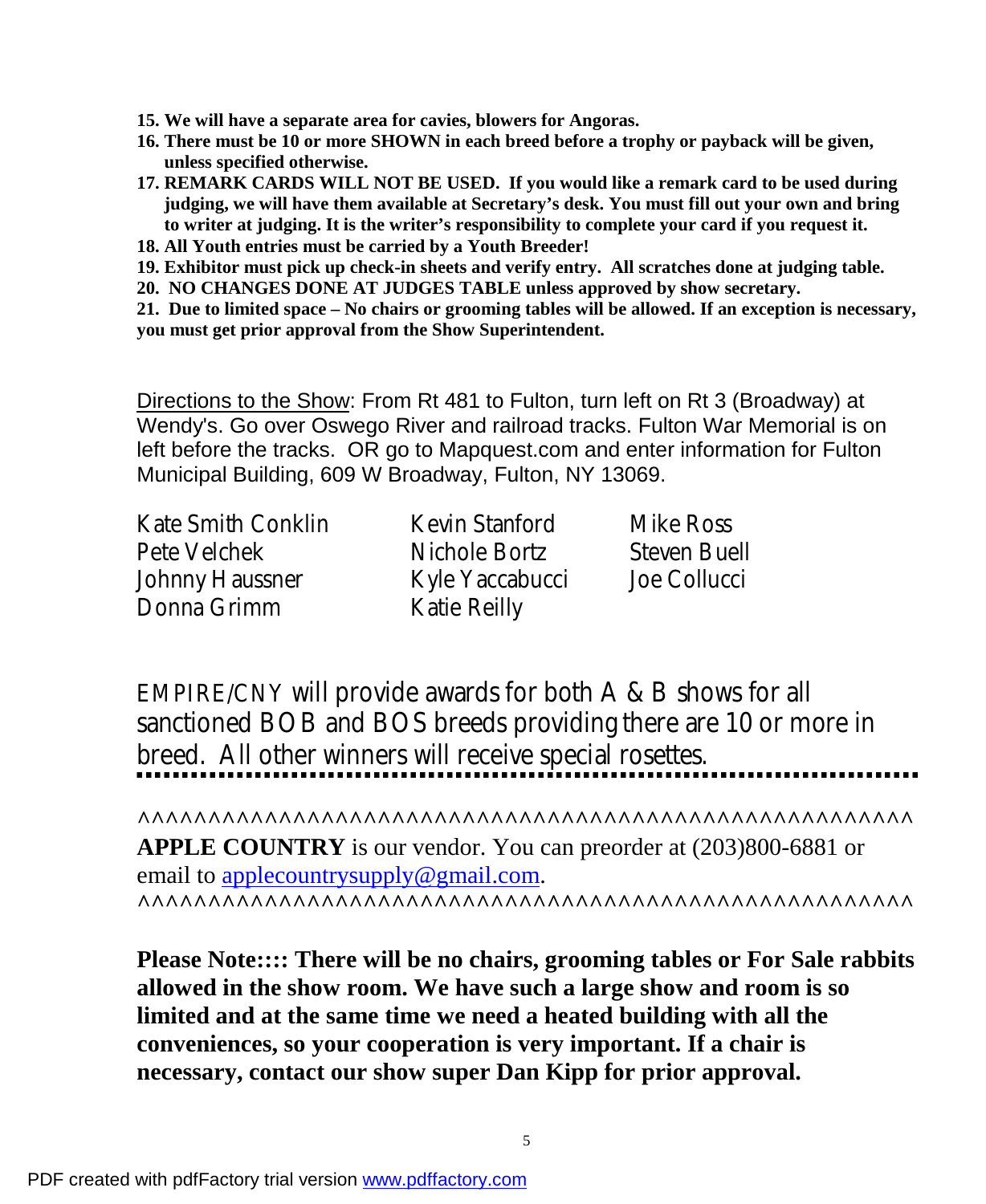- **15. We will have a separate area for cavies, blowers for Angoras.**
- **16. There must be 10 or more SHOWN in each breed before a trophy or payback will be given, unless specified otherwise.**
- **17. REMARK CARDS WILL NOT BE USED. If you would like a remark card to be used during judging, we will have them available at Secretary's desk. You must fill out your own and bring to writer at judging. It is the writer's responsibility to complete your card if you request it.**
- **18. All Youth entries must be carried by a Youth Breeder!**
- **19. Exhibitor must pick up check-in sheets and verify entry. All scratches done at judging table.**
- **20. NO CHANGES DONE AT JUDGES TABLE unless approved by show secretary.**

**21. Due to limited space – No chairs or grooming tables will be allowed. If an exception is necessary, you must get prior approval from the Show Superintendent.** 

Directions to the Show: From Rt 481 to Fulton, turn left on Rt 3 (Broadway) at Wendy's. Go over Oswego River and railroad tracks. Fulton War Memorial is on left before the tracks. OR go to Mapquest.com and enter information for Fulton Municipal Building, 609 W Broadway, Fulton, NY 13069.

Kate Smith Conklin Kevin Stanford Mike Ross Pete Velchek Nichole Bortz Steven Buell Johnny Haussner Kyle Yaccabucci Joe Collucci Donna Grimm Katie Reilly

EMPIRE/CNY will provide awards for both A & B shows for all sanctioned BOB and BOS breeds providing there are 10 or more in breed. All other winners will receive special rosettes.

**^^^^^^^^^^^^^^^^^^^^^^^^^^^^^^^^^^^^^^^^^^^^^^^^^^^^^^^ APPLE COUNTRY** is our vendor. You can preorder at (203)800-6881 or email to [applecountrysupply@gmail.com.](mailto:applecountrysupply@gmail.com) **^^^^^^^^^^^^^^^^^^^^^^^^^^^^^^^^^^^^^^^^^^^^^^^^^^^^^^^** 

**Please Note:::: There will be no chairs, grooming tables or For Sale rabbits allowed in the show room. We have such a large show and room is so limited and at the same time we need a heated building with all the conveniences, so your cooperation is very important. If a chair is necessary, contact our show super Dan Kipp for prior approval.**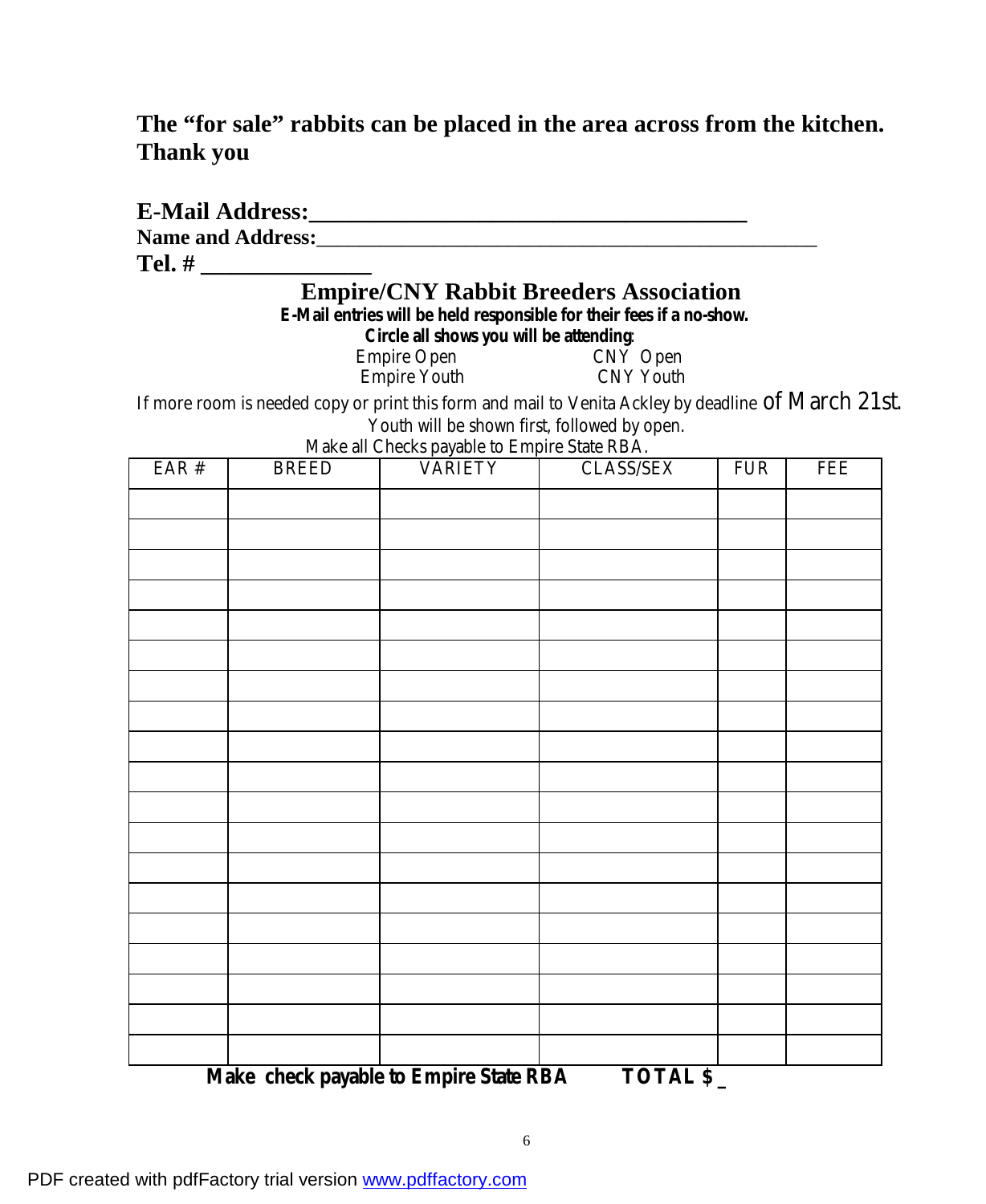#### **The "for sale" rabbits can be placed in the area across from the kitchen. Thank you**

|       |              |                                              | <b>Empire/CNY Rabbit Breeders Association</b>                                                       |            |     |
|-------|--------------|----------------------------------------------|-----------------------------------------------------------------------------------------------------|------------|-----|
|       |              |                                              | E-Mail entries will be held responsible for their fees if a no-show.                                |            |     |
|       |              | Circle all shows you will be attending:      |                                                                                                     |            |     |
|       |              |                                              | Empire Open<br>Empire Youth<br>CNY Youth<br>CNY Youth                                               |            |     |
|       |              |                                              | If more room is needed copy or print this form and mail to Venita Ackley by deadline Of March 21st. |            |     |
|       |              | Make all Checks payable to Empire State RBA. | Youth will be shown first, followed by open.                                                        |            |     |
| EAR # | <b>BREED</b> | VARIETY                                      | CLASS/SEX                                                                                           | <b>FUR</b> | FEE |
|       |              |                                              |                                                                                                     |            |     |
|       |              |                                              |                                                                                                     |            |     |
|       |              |                                              |                                                                                                     |            |     |
|       |              |                                              |                                                                                                     |            |     |
|       |              |                                              |                                                                                                     |            |     |
|       |              |                                              |                                                                                                     |            |     |
|       |              |                                              |                                                                                                     |            |     |
|       |              |                                              |                                                                                                     |            |     |
|       |              |                                              |                                                                                                     |            |     |
|       |              |                                              |                                                                                                     |            |     |
|       |              |                                              |                                                                                                     |            |     |
|       |              |                                              |                                                                                                     |            |     |
|       |              |                                              |                                                                                                     |            |     |
|       |              |                                              |                                                                                                     |            |     |
|       |              |                                              |                                                                                                     |            |     |
|       |              |                                              |                                                                                                     |            |     |
|       |              |                                              |                                                                                                     |            |     |
|       |              |                                              |                                                                                                     |            |     |
|       |              |                                              |                                                                                                     |            |     |
|       |              |                                              |                                                                                                     |            |     |

 **Make check payable to Empire State RBA TOTAL \$ \_**